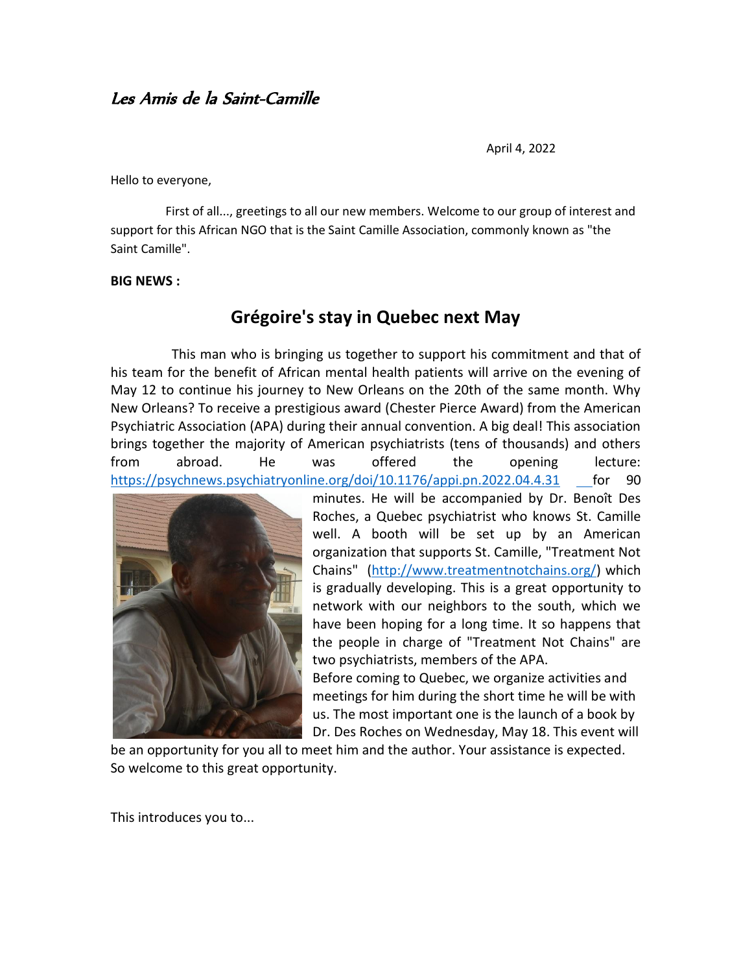## Les Amis de la Saint-Camille

April 4, 2022

Hello to everyone,

 First of all..., greetings to all our new members. Welcome to our group of interest and support for this African NGO that is the Saint Camille Association, commonly known as "the Saint Camille".

## **BIG NEWS :**

## **Grégoire's stay in Quebec next May**

 This man who is bringing us together to support his commitment and that of his team for the benefit of African mental health patients will arrive on the evening of May 12 to continue his journey to New Orleans on the 20th of the same month. Why New Orleans? To receive a prestigious award (Chester Pierce Award) from the American Psychiatric Association (APA) during their annual convention. A big deal! This association brings together the majority of American psychiatrists (tens of thousands) and others from abroad. He was offered the opening lecture: <https://psychnews.psychiatryonline.org/doi/10.1176/appi.pn.2022.04.4.31> for 90



minutes. He will be accompanied by Dr. Benoît Des Roches, a Quebec psychiatrist who knows St. Camille well. A booth will be set up by an American organization that supports St. Camille, "Treatment Not Chains" [\(http://www.treatmentnotchains.org/\)](http://www.treatmentnotchains.org/) which is gradually developing. This is a great opportunity to network with our neighbors to the south, which we have been hoping for a long time. It so happens that the people in charge of "Treatment Not Chains" are two psychiatrists, members of the APA.

Before coming to Quebec, we organize activities and meetings for him during the short time he will be with us. The most important one is the launch of a book by Dr. Des Roches on Wednesday, May 18. This event will

be an opportunity for you all to meet him and the author. Your assistance is expected. So welcome to this great opportunity.

This introduces you to...